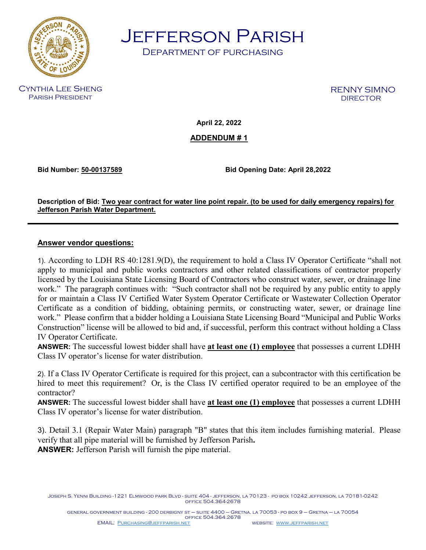

Jefferson Parish

Department of purchasing

Cynthia Lee Sheng Parish President

RENNY SIMNO<br>DIRECTOR

**April 22, 2022**

**ADDENDUM # 1**

**Bid Number: 50-00137589 Bid Opening Date: April 28,2022**

**Description of Bid: Two year contract for water line point repair. (to be used for daily emergency repairs) for Jefferson Parish Water Department.**

## **Answer vendor questions:**

1). According to LDH RS 40:1281.9(D), the requirement to hold a Class IV Operator Certificate "shall not apply to municipal and public works contractors and other related classifications of contractor properly licensed by the Louisiana State Licensing Board of Contractors who construct water, sewer, or drainage line work." The paragraph continues with: "Such contractor shall not be required by any public entity to apply for or maintain a Class IV Certified Water System Operator Certificate or Wastewater Collection Operator Certificate as a condition of bidding, obtaining permits, or constructing water, sewer, or drainage line work." Please confirm that a bidder holding a Louisiana State Licensing Board "Municipal and Public Works Construction" license will be allowed to bid and, if successful, perform this contract without holding a Class IV Operator Certificate.

**ANSWER:** The successful lowest bidder shall have **at least one (1) employee** that possesses a current LDHH Class IV operator's license for water distribution.

2). If a Class IV Operator Certificate is required for this project, can a subcontractor with this certification be hired to meet this requirement? Or, is the Class IV certified operator required to be an employee of the contractor?

**ANSWER:** The successful lowest bidder shall have **at least one (1) employee** that possesses a current LDHH Class IV operator's license for water distribution.

3). Detail 3.1 (Repair Water Main) paragraph "B" states that this item includes furnishing material. Please verify that all pipe material will be furnished by Jefferson Parish**. ANSWER:** Jefferson Parish will furnish the pipe material.

Joseph S. Yenni Building -1221 Elmwood park Blvd - suite 404 - jefferson, la 70123 - po box 10242 jefferson, la 70181-0242 office 504.364-2678